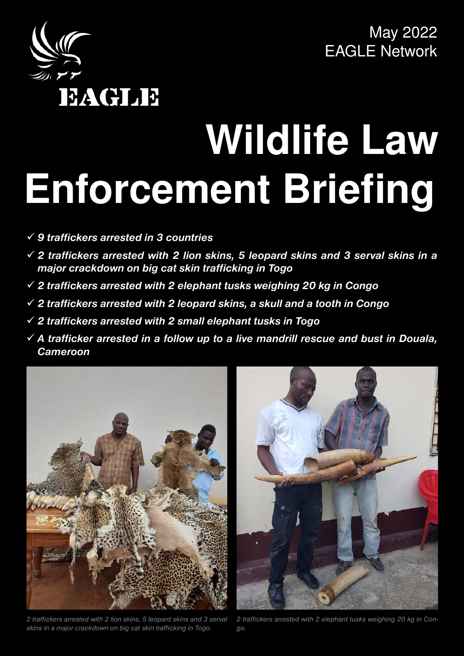

May 2022 EAGLE Network

#### International criminal syndicate crashed in Cameroon, 4traffickers arrested with 73 ivory tusks and 1.7 tons of pangolin scales A Chinese trafficker arrested with ivory in Senegal, 3 Senegalese traffickers arrested in follow up with 391 carved ivory pieces 2 traffickers arrested in Togo with 9 kg of ivory An ivory trafficient with two carriers in  $\mathbf{r}$ **Enforcement Briefing Wildlife Law**

- 9 *9 traffickers arrested in 3 countries*
- 9 *2 traffickers arrested with 2 lion skins, 5 leopard skins and 3 serval skins in a major crackdown on big cat skin trafficking in Togo*
- 9 *2 traffickers arrested with 2 elephant tusks weighing 20 kg in Congo*
- 9 *2 traffickers arrested with 2 leopard skins, a skull and a tooth in Congo*
- 9 *2 traffickers arrested with 2 small elephant tusks in Togo*
- 9 *A trafficker arrested in a follow up to a live mandrill rescue and bust in Douala, Cameroon*



2 traffickers arrested with 2 lion skins, 5 leopard skins and 3 serval Cameroon, Congo, Gabon, Togo, Senegal, Côte d'Ivoire, Burkina Faso, Uganda *May 2022* | *1 skins in a major crackdown on big cat skin trafficking in Togo.*



**The EAGLE NETWORK** – LAGA, PALF, AALF, EAGLE Togo, EAGLE Senegal, EAGLE Côte d'Ivoire, EAGLE Burkina Faso, EAGLE *2 traffickers arrested with 2 elephant tusks weighing 20 kg in Congo.*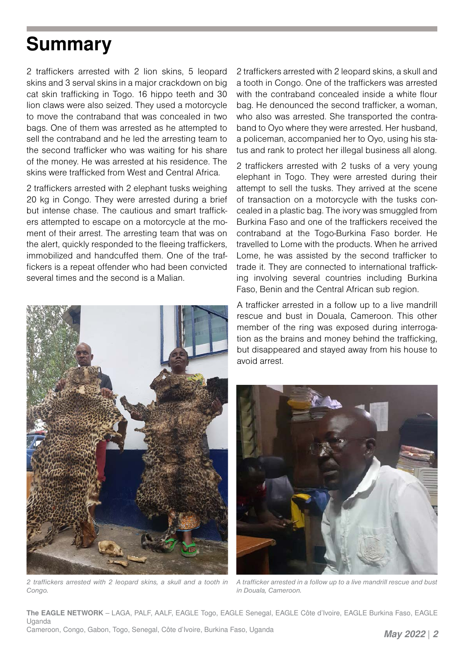#### **Summary**

2 traffickers arrested with 2 lion skins, 5 leopard skins and 3 serval skins in a major crackdown on big cat skin trafficking in Togo. 16 hippo teeth and 30 lion claws were also seized. They used a motorcycle to move the contraband that was concealed in two bags. One of them was arrested as he attempted to sell the contraband and he led the arresting team to the second trafficker who was waiting for his share of the money. He was arrested at his residence. The skins were trafficked from West and Central Africa.

2 traffickers arrested with 2 elephant tusks weighing 20 kg in Congo. They were arrested during a brief but intense chase. The cautious and smart traffickers attempted to escape on a motorcycle at the moment of their arrest. The arresting team that was on the alert, quickly responded to the fleeing traffickers, immobilized and handcuffed them. One of the traffickers is a repeat offender who had been convicted several times and the second is a Malian.



*2 traffickers arrested with 2 leopard skins, a skull and a tooth in Congo.*

2 traffickers arrested with 2 leopard skins, a skull and a tooth in Congo. One of the traffickers was arrested with the contraband concealed inside a white flour bag. He denounced the second trafficker, a woman, who also was arrested. She transported the contraband to Oyo where they were arrested. Her husband, a policeman, accompanied her to Oyo, using his status and rank to protect her illegal business all along.

2 traffickers arrested with 2 tusks of a very young elephant in Togo. They were arrested during their attempt to sell the tusks. They arrived at the scene of transaction on a motorcycle with the tusks concealed in a plastic bag. The ivory was smuggled from Burkina Faso and one of the traffickers received the contraband at the Togo-Burkina Faso border. He travelled to Lome with the products. When he arrived Lome, he was assisted by the second trafficker to trade it. They are connected to international trafficking involving several countries including Burkina Faso, Benin and the Central African sub region.

A trafficker arrested in a follow up to a live mandrill rescue and bust in Douala, Cameroon. This other member of the ring was exposed during interrogation as the brains and money behind the trafficking, but disappeared and stayed away from his house to avoid arrest.



*A trafficker arrested in a follow up to a live mandrill rescue and bust in Douala, Cameroon.*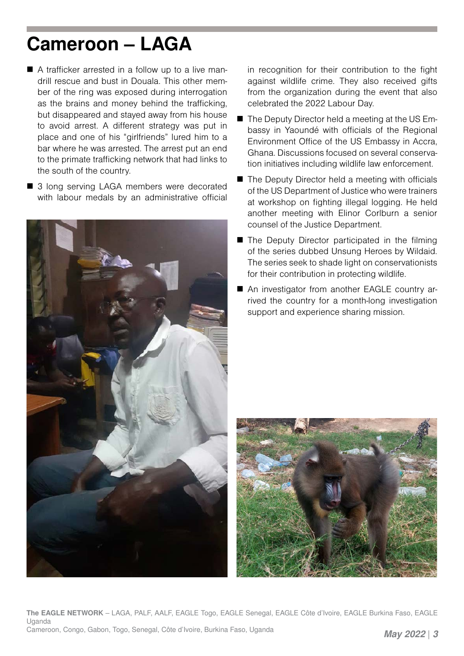#### **Cameroon – LAGA**

- A trafficker arrested in a follow up to a live mandrill rescue and bust in Douala. This other member of the ring was exposed during interrogation as the brains and money behind the trafficking, but disappeared and stayed away from his house to avoid arrest. A different strategy was put in place and one of his "girlfriends" lured him to a bar where he was arrested. The arrest put an end to the primate trafficking network that had links to the south of the country.
- 3 long serving LAGA members were decorated with labour medals by an administrative official



in recognition for their contribution to the fight against wildlife crime. They also received gifts from the organization during the event that also celebrated the 2022 Labour Day.

- The Deputy Director held a meeting at the US Embassy in Yaoundé with officials of the Regional Environment Office of the US Embassy in Accra, Ghana. Discussions focused on several conservation initiatives including wildlife law enforcement.
- $\blacksquare$  The Deputy Director held a meeting with officials of the US Department of Justice who were trainers at workshop on fighting illegal logging. He held another meeting with Elinor Corlburn a senior counsel of the Justice Department.
- The Deputy Director participated in the filming of the series dubbed Unsung Heroes by Wildaid. The series seek to shade light on conservationists for their contribution in protecting wildlife.
- An investigator from another EAGLE country arrived the country for a month-long investigation support and experience sharing mission.

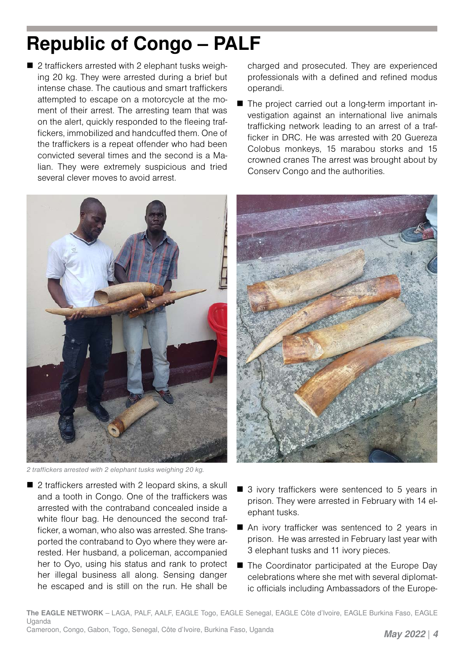# **Republic of Congo – PALF**

■ 2 traffickers arrested with 2 elephant tusks weighing 20 kg. They were arrested during a brief but intense chase. The cautious and smart traffickers attempted to escape on a motorcycle at the moment of their arrest. The arresting team that was on the alert, quickly responded to the fleeing traffickers, immobilized and handcuffed them. One of the traffickers is a repeat offender who had been convicted several times and the second is a Malian. They were extremely suspicious and tried several clever moves to avoid arrest.

charged and prosecuted. They are experienced professionals with a defined and refined modus operandi.

■ The project carried out a long-term important investigation against an international live animals trafficking network leading to an arrest of a trafficker in DRC. He was arrested with 20 Guereza Colobus monkeys, 15 marabou storks and 15 crowned cranes The arrest was brought about by Conserv Congo and the authorities.



*2 traffickers arrested with 2 elephant tusks weighing 20 kg.* 

■ 2 traffickers arrested with 2 leopard skins, a skull and a tooth in Congo. One of the traffickers was arrested with the contraband concealed inside a white flour bag. He denounced the second trafficker, a woman, who also was arrested. She transported the contraband to Oyo where they were arrested. Her husband, a policeman, accompanied her to Oyo, using his status and rank to protect her illegal business all along. Sensing danger he escaped and is still on the run. He shall be



- 3 ivory traffickers were sentenced to 5 years in prison. They were arrested in February with 14 elephant tusks.
- An ivory trafficker was sentenced to 2 years in prison. He was arrested in February last year with 3 elephant tusks and 11 ivory pieces.
- The Coordinator participated at the Europe Day celebrations where she met with several diplomatic officials including Ambassadors of the Europe-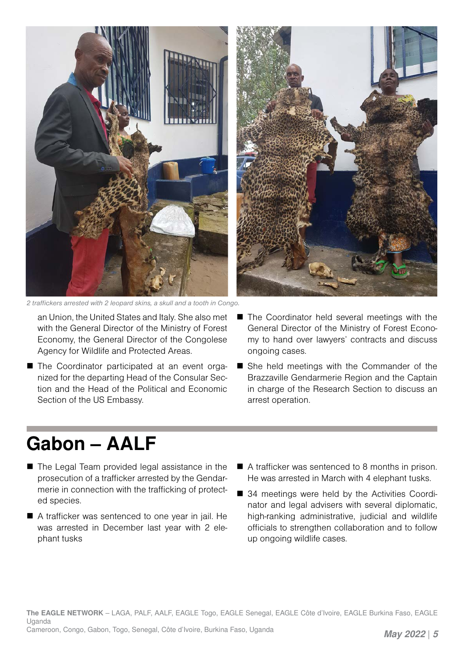

*2 traffickers arrested with 2 leopard skins, a skull and a tooth in Congo.* 

an Union, the United States and Italy. She also met with the General Director of the Ministry of Forest Economy, the General Director of the Congolese Agency for Wildlife and Protected Areas.

■ The Coordinator participated at an event organized for the departing Head of the Consular Section and the Head of the Political and Economic Section of the US Embassy.



- The Coordinator held several meetings with the General Director of the Ministry of Forest Economy to hand over lawyers' contracts and discuss ongoing cases.
- She held meetings with the Commander of the Brazzaville Gendarmerie Region and the Captain in charge of the Research Section to discuss an arrest operation.

#### **Gabon – AALF**

- The Legal Team provided legal assistance in the prosecution of a trafficker arrested by the Gendarmerie in connection with the trafficking of protected species.
- A trafficker was sentenced to one year in jail. He was arrested in December last year with 2 elephant tusks
- A trafficker was sentenced to 8 months in prison. He was arrested in March with 4 elephant tusks.
- 34 meetings were held by the Activities Coordinator and legal advisers with several diplomatic, high-ranking administrative, judicial and wildlife officials to strengthen collaboration and to follow up ongoing wildlife cases.

**The EAGLE NETWORK** – LAGA, PALF, AALF, EAGLE Togo, EAGLE Senegal, EAGLE Côte d'Ivoire, EAGLE Burkina Faso, EAGLE Uganda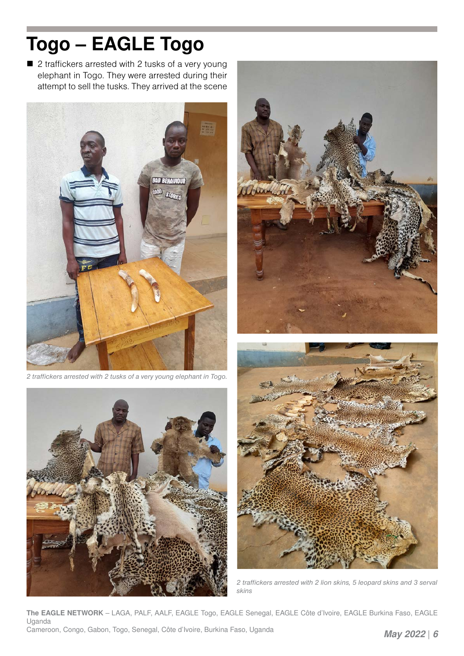# **Togo – EAGLE Togo**

■ 2 traffickers arrested with 2 tusks of a very young elephant in Togo. They were arrested during their attempt to sell the tusks. They arrived at the scene



*2 traffickers arrested with 2 tusks of a very young elephant in Togo.* 





*2 traffickers arrested with 2 lion skins, 5 leopard skins and 3 serval skins*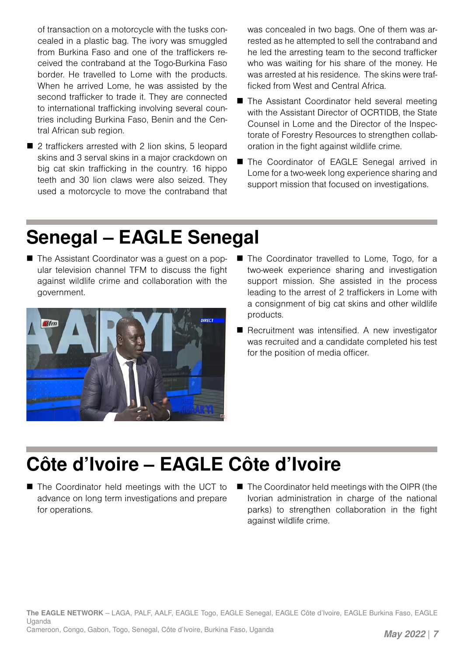of transaction on a motorcycle with the tusks concealed in a plastic bag. The ivory was smuggled from Burkina Faso and one of the traffickers received the contraband at the Togo-Burkina Faso border. He travelled to Lome with the products. When he arrived Lome, he was assisted by the second trafficker to trade it. They are connected to international trafficking involving several countries including Burkina Faso, Benin and the Central African sub region.

■ 2 traffickers arrested with 2 lion skins, 5 leopard skins and 3 serval skins in a major crackdown on big cat skin trafficking in the country. 16 hippo teeth and 30 lion claws were also seized. They used a motorcycle to move the contraband that was concealed in two bags. One of them was arrested as he attempted to sell the contraband and he led the arresting team to the second trafficker who was waiting for his share of the money. He was arrested at his residence. The skins were trafficked from West and Central Africa.

- The Assistant Coordinator held several meeting with the Assistant Director of OCRTIDB, the State Counsel in Lome and the Director of the Inspectorate of Forestry Resources to strengthen collaboration in the fight against wildlife crime.
- The Coordinator of EAGLE Senegal arrived in Lome for a two-week long experience sharing and support mission that focused on investigations.

# **Senegal – EAGLE Senegal**

■ The Assistant Coordinator was a guest on a popular television channel TFM to discuss the fight against wildlife crime and collaboration with the government.



- The Coordinator travelled to Lome, Togo, for a two-week experience sharing and investigation support mission. She assisted in the process leading to the arrest of 2 traffickers in Lome with a consignment of big cat skins and other wildlife products.
- Recruitment was intensified. A new investigator was recruited and a candidate completed his test for the position of media officer.

#### **Côte d'Ivoire – EAGLE Côte d'Ivoire**

- The Coordinator held meetings with the UCT to advance on long term investigations and prepare for operations.
- The Coordinator held meetings with the OIPR (the Ivorian administration in charge of the national parks) to strengthen collaboration in the fight against wildlife crime.